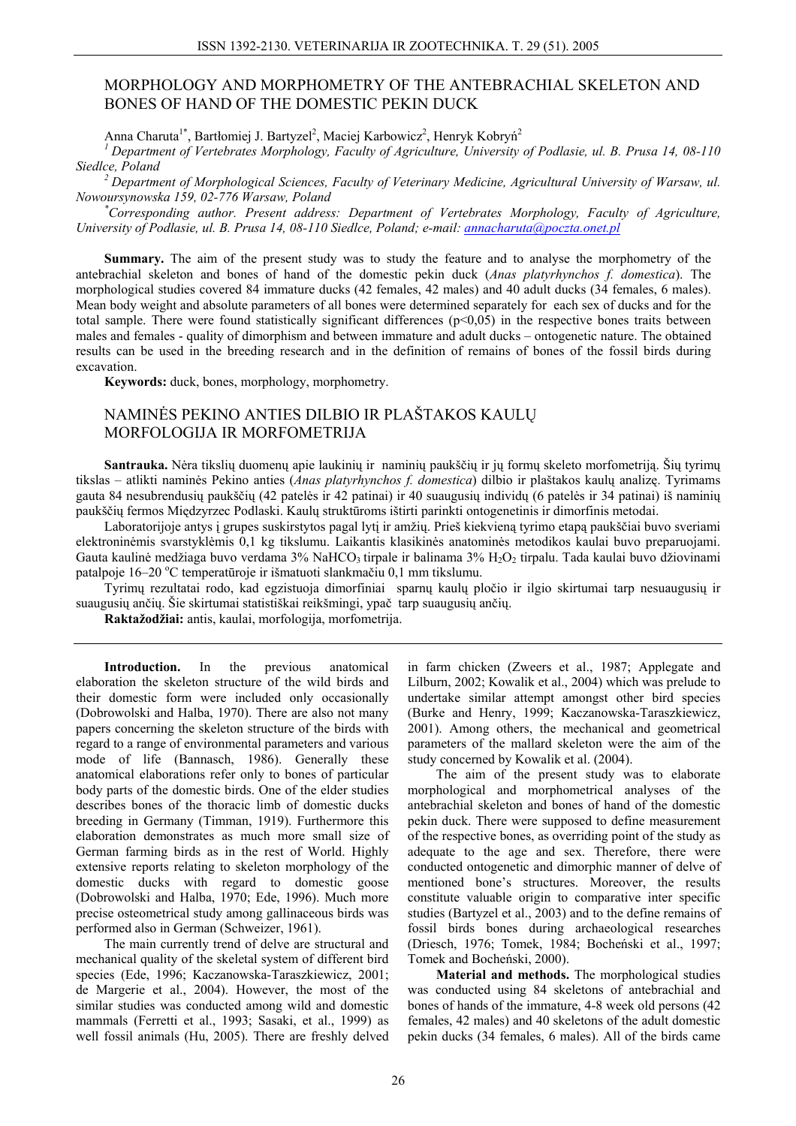# MORPHOLOGY AND MORPHOMETRY OF THE ANTEBRACHIAL SKELETON AND BONES OF HAND OF THE DOMESTIC PEKIN DUCK

Anna Charuta<sup>1\*</sup>, Bartłomiej J. Bartyzel<sup>2</sup>, Maciej Karbowicz<sup>2</sup>, Henryk Kobryń<sup>2</sup>

<sup>1</sup> Department of Vertebrates Morphology, Faculty of Agriculture, University of Podlasie, ul. B. Prusa 14, 08-110 Siedlce, Poland

 $^2$  Department of Morphological Sciences, Faculty of Veterinary Medicine, Agricultural University of Warsaw, ul. Nowoursynowska 159, 02-776 Warsaw, Poland

Corresponding author. Present address: Department of Vertebrates Morphology, Faculty of Agriculture, University of Podlasie, ul. B. Prusa 14, 08-110 Siedlce, Poland; e-mail: annacharuta@poczta.onet.pl

Summary. The aim of the present study was to study the feature and to analyse the morphometry of the antebrachial skeleton and bones of hand of the domestic pekin duck (Anas platyrhynchos f. domestica). The morphological studies covered 84 immature ducks (42 females, 42 males) and 40 adult ducks (34 females, 6 males). Mean body weight and absolute parameters of all bones were determined separately for each sex of ducks and for the total sample. There were found statistically significant differences  $(p<0.05)$  in the respective bones traits between males and females - quality of dimorphism and between immature and adult ducks – ontogenetic nature. The obtained results can be used in the breeding research and in the definition of remains of bones of the fossil birds during excavation.

Keywords: duck, bones, morphology, morphometry.

## NAMINĖS PEKINO ANTIES DILBIO IR PLAŠTAKOS KAULŲ MORFOLOGIJA IR MORFOMETRIJA

Santrauka. Nėra tikslių duomenų apie laukinių ir naminių paukščių ir jų formų skeleto morfometriją. Šių tyrimų tikslas – atlikti naminės Pekino anties (Anas platyrhynchos f. domestica) dilbio ir plaštakos kaulu analize. Tyrimams gauta 84 nesubrendusių paukščių (42 patelės ir 42 patinai) ir 40 suaugusių individų (6 patelės ir 34 patinai) iš naminių paukščių fermos Miedzyrzec Podlaski. Kaulų struktūroms ištirti parinkti ontogenetinis ir dimorfinis metodai.

Laboratorijoje antys į grupes suskirstytos pagal lytį ir amžių. Prieš kiekvieną tyrimo etapą paukščiai buvo sveriami elektroninėmis svarstyklėmis 0,1 kg tikslumu. Laikantis klasikinės anatominės metodikos kaulai buvo preparuojami. Gauta kaulinė medžiaga buvo verdama 3% NaHCO<sub>3</sub> tirpale ir balinama 3% H<sub>2</sub>O<sub>2</sub> tirpalu. Tada kaulai buvo džiovinami patalpoje 16–20 °C temperatūroje ir išmatuoti slankmačiu 0,1 mm tikslumu.

Tyrimų rezultatai rodo, kad egzistuoja dimorfiniai sparnų kaulų pločio ir ilgio skirtumai tarp nesuaugusių ir suaugusių ančių. Šie skirtumai statistiškai reikšmingi, ypač tarp suaugusių ančių.

Raktažodžiai: antis, kaulai, morfologija, morfometrija.

Introduction. In the previous anatomical elaboration the skeleton structure of the wild birds and their domestic form were included only occasionally (Dobrowolski and Halba, 1970). There are also not many papers concerning the skeleton structure of the birds with regard to a range of environmental parameters and various mode of life (Bannasch, 1986). Generally these anatomical elaborations refer only to bones of particular body parts of the domestic birds. One of the elder studies describes bones of the thoracic limb of domestic ducks breeding in Germany (Timman, 1919). Furthermore this elaboration demonstrates as much more small size of German farming birds as in the rest of World. Highly extensive reports relating to skeleton morphology of the domestic ducks with regard to domestic goose (Dobrowolski and Halba, 1970; Ede, 1996). Much more precise osteometrical study among gallinaceous birds was performed also in German (Schweizer, 1961).

The main currently trend of delve are structural and mechanical quality of the skeletal system of different bird species (Ede, 1996; Kaczanowska-Taraszkiewicz, 2001; de Margerie et al., 2004). However, the most of the similar studies was conducted among wild and domestic mammals (Ferretti et al., 1993; Sasaki, et al., 1999) as well fossil animals (Hu, 2005). There are freshly delved

in farm chicken (Zweers et al., 1987; Applegate and Lilburn, 2002; Kowalik et al., 2004) which was prelude to undertake similar attempt amongst other bird species (Burke and Henry, 1999; Kaczanowska-Taraszkiewicz, 2001). Among others, the mechanical and geometrical parameters of the mallard skeleton were the aim of the study concerned by Kowalik et al. (2004).

The aim of the present study was to elaborate morphological and morphometrical analyses of the antebrachial skeleton and bones of hand of the domestic pekin duck. There were supposed to define measurement of the respective bones, as overriding point of the study as adequate to the age and sex. Therefore, there were conducted ontogenetic and dimorphic manner of delve of mentioned bone's structures. Moreover, the results constitute valuable origin to comparative inter specific studies (Bartyzel et al., 2003) and to the define remains of fossil birds bones during archaeological researches (Driesch, 1976; Tomek, 1984; Bocheński et al., 1997; Tomek and Bocheński, 2000).

Material and methods. The morphological studies was conducted using 84 skeletons of antebrachial and bones of hands of the immature, 4-8 week old persons (42) females, 42 males) and 40 skeletons of the adult domestic pekin ducks (34 females, 6 males). All of the birds came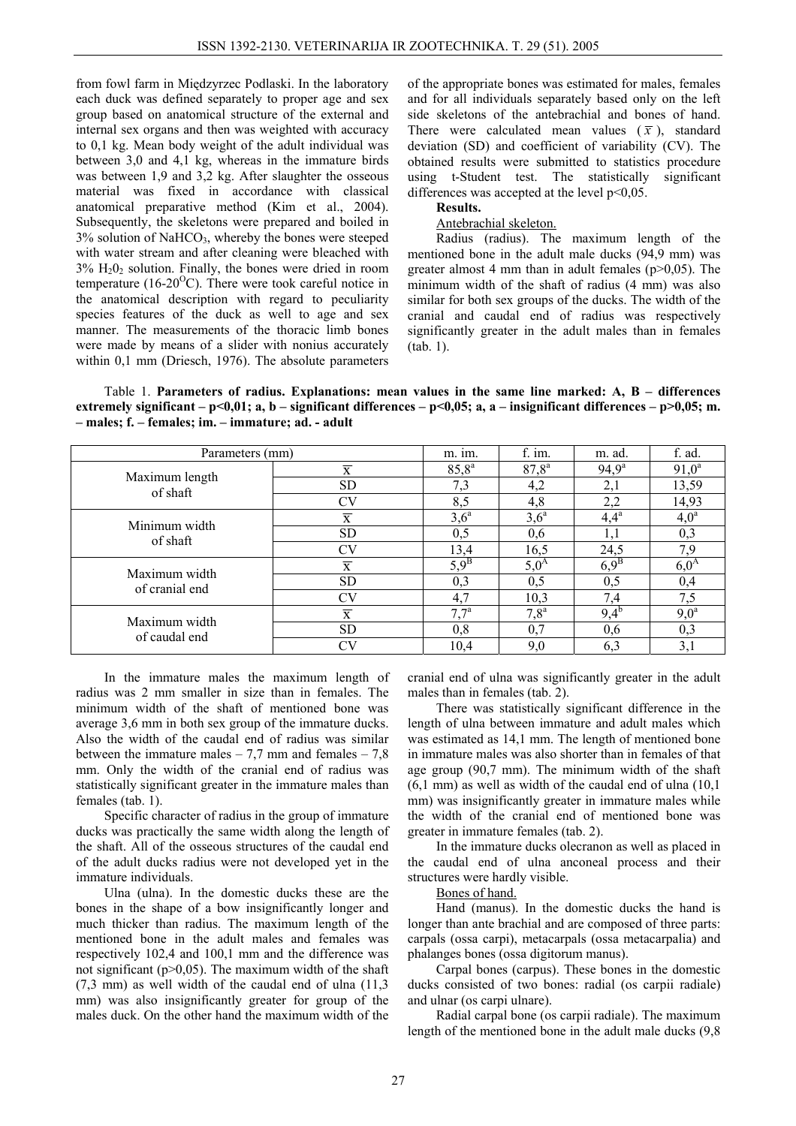from fowl farm in Międzyrzec Podlaski. In the laboratory each duck was defined separately to proper age and sex group based on anatomical structure of the external and internal sex organs and then was weighted with accuracy to 0,1 kg. Mean body weight of the adult individual was between 3,0 and 4,1 kg, whereas in the immature birds was between 1,9 and 3,2 kg. After slaughter the osseous material was fixed in accordance with classical anatomical preparative method (Kim et al., 2004). Subsequently, the skeletons were prepared and boiled in 3% solution of NaHCO3, whereby the bones were steeped with water stream and after cleaning were bleached with  $3\%$  H<sub>2</sub>O<sub>2</sub> solution. Finally, the bones were dried in room temperature (16-20 $^{\circ}$ C). There were took careful notice in the anatomical description with regard to peculiarity species features of the duck as well to age and sex manner. The measurements of the thoracic limb bones were made by means of a slider with nonius accurately within 0,1 mm (Driesch, 1976). The absolute parameters of the appropriate bones was estimated for males, females and for all individuals separately based only on the left side skeletons of the antebrachial and bones of hand. There were calculated mean values  $(\bar{x})$ , standard deviation (SD) and coefficient of variability (CV). The obtained results were submitted to statistics procedure using t-Student test. The statistically significant differences was accepted at the level  $p<0.05$ .

#### **Results.**  Antebrachial skeleton.

Radius (radius). The maximum length of the mentioned bone in the adult male ducks (94,9 mm) was greater almost 4 mm than in adult females  $(p>0,05)$ . The minimum width of the shaft of radius (4 mm) was also similar for both sex groups of the ducks. The width of the cranial and caudal end of radius was respectively significantly greater in the adult males than in females (tab. 1).

Table 1. **Parameters of radius. Explanations: mean values in the same line marked: A, B – differences extremely significant – p<0,01; a, b – significant differences – p<0,05; a, a – insignificant differences – p>0,05; m. – males; f. – females; im. – immature; ad. - adult** 

| Parameters (mm)            | m. im.                  | f. im.         | m. ad.         | f. ad.         |          |
|----------------------------|-------------------------|----------------|----------------|----------------|----------|
| Maximum length<br>of shaft | $\overline{\mathbf{x}}$ | $85,8^{\rm a}$ | $87,8^{\rm a}$ | $94.9^{\rm a}$ | $91,0^a$ |
|                            | <b>SD</b>               | 7,3            | 4,2            | 2,1            | 13,59    |
|                            | CV                      | 8,5            | 4,8            | 2,2            | 14,93    |
| Minimum width<br>of shaft  | $\overline{x}$          | $3,6^{\circ}$  | $3,6^a$        | $4,4^a$        | $4,0^a$  |
|                            | <b>SD</b>               | 0,5            | 0,6            |                | 0,3      |
|                            | CV                      | 13,4           | 16,5           | 24,5           | 7,9      |
| Maximum width              | $\overline{\mathbf{x}}$ | $5,9^B$        | $5,0^A$        | $6.9^B$        | $6,0^A$  |
| of cranial end             | SD                      | 0,3            | 0,5            | 0,5            | 0,4      |
|                            | CV                      | 4,7            | 10,3           | 7,4            | 7,5      |
| Maximum width              | $\overline{\textbf{X}}$ | $7,7^{\rm a}$  | $7,8^{\rm a}$  | $9,4^{\rm b}$  | $9,0^a$  |
| of caudal end              | SD                      | 0,8            | 0,7            | 0,6            | 0,3      |
|                            | CV                      | 10,4           | 9,0            | 6,3            | 3,1      |

In the immature males the maximum length of radius was 2 mm smaller in size than in females. The minimum width of the shaft of mentioned bone was average 3,6 mm in both sex group of the immature ducks. Also the width of the caudal end of radius was similar between the immature males  $-7.7$  mm and females  $-7.8$ mm. Only the width of the cranial end of radius was statistically significant greater in the immature males than females (tab. 1).

Specific character of radius in the group of immature ducks was practically the same width along the length of the shaft. All of the osseous structures of the caudal end of the adult ducks radius were not developed yet in the immature individuals.

Ulna (ulna). In the domestic ducks these are the bones in the shape of a bow insignificantly longer and much thicker than radius. The maximum length of the mentioned bone in the adult males and females was respectively 102,4 and 100,1 mm and the difference was not significant ( $p>0,05$ ). The maximum width of the shaft (7,3 mm) as well width of the caudal end of ulna (11,3 mm) was also insignificantly greater for group of the males duck. On the other hand the maximum width of the cranial end of ulna was significantly greater in the adult males than in females (tab. 2).

There was statistically significant difference in the length of ulna between immature and adult males which was estimated as 14,1 mm. The length of mentioned bone in immature males was also shorter than in females of that age group (90,7 mm). The minimum width of the shaft (6,1 mm) as well as width of the caudal end of ulna (10,1 mm) was insignificantly greater in immature males while the width of the cranial end of mentioned bone was greater in immature females (tab. 2).

In the immature ducks olecranon as well as placed in the caudal end of ulna anconeal process and their structures were hardly visible.

#### Bones of hand.

Hand (manus). In the domestic ducks the hand is longer than ante brachial and are composed of three parts: carpals (ossa carpi), metacarpals (ossa metacarpalia) and phalanges bones (ossa digitorum manus).

Carpal bones (carpus). These bones in the domestic ducks consisted of two bones: radial (os carpii radiale) and ulnar (os carpi ulnare).

Radial carpal bone (os carpii radiale). The maximum length of the mentioned bone in the adult male ducks (9,8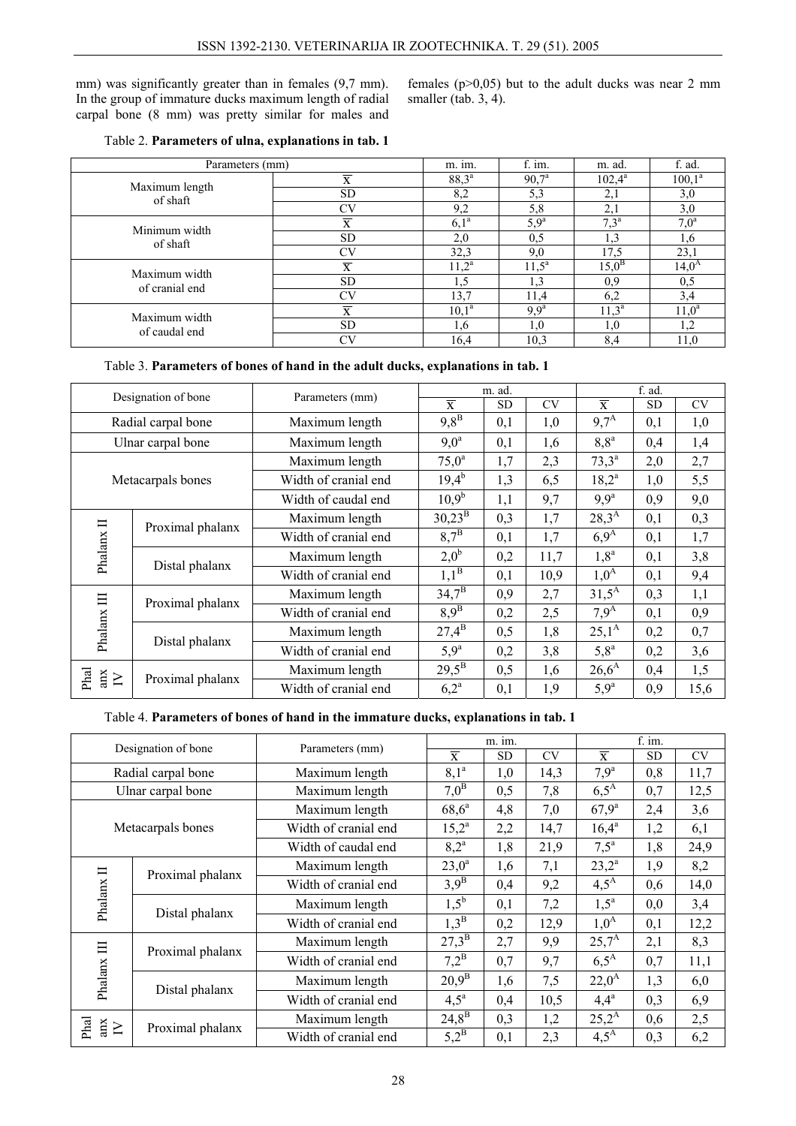mm) was significantly greater than in females (9,7 mm). In the group of immature ducks maximum length of radial carpal bone (8 mm) was pretty similar for males and females  $(p>0,05)$  but to the adult ducks was near 2 mm smaller (tab.  $3, 4$ ).

| Parameters (mm)            | m. im.                    | f. im.         | m. ad.           | f. ad.          |                     |
|----------------------------|---------------------------|----------------|------------------|-----------------|---------------------|
| Maximum length<br>of shaft | $\overline{\mathbf{x}}$   | $88,3^{\rm a}$ | $90,7^{\circ}$   | $102,4^{\rm a}$ | $100,1^a$           |
|                            | SD                        | 8,2            | 5,3              | 2,1             | 3,0                 |
|                            | CV                        | 9,2            | 5,8              | 2,1             | 3,0                 |
| Minimum width<br>of shaft  | $\overline{\overline{x}}$ | $6,1^a$        | $5,9^a$          | $7,3^{\rm a}$   | $7,0^a$             |
|                            | <b>SD</b>                 | 2,0            | 0,5              | 1,3             | 1,6                 |
|                            | CV                        | 32,3           | 9,0              | 17,5            | 23,1                |
| Maximum width              | $\overline{\overline{x}}$ | $11,2^{\rm a}$ | $11,5^a$         | $15,0^{\rm B}$  | $\overline{14,0}^A$ |
| of cranial end             | <b>SD</b>                 | 1.5            |                  | 0.9             | 0,5                 |
|                            | CV                        | 13.7           | 11,4             | 6,2             | 3,4                 |
| Maximum width              | X                         | $10,1^a$       | 9.9 <sup>a</sup> | $11,3^a$        | $11,0^a$            |
| of caudal end              | <b>SD</b>                 | 1,6            | $\cdot$ 0        | 1,0             | 1,2                 |
|                            | CV                        | 16,4           | 10,3             | 8,4             | 11,0                |

### Table 3. **Parameters of bones of hand in the adult ducks, explanations in tab. 1**

| Designation of bone   |                  | Parameters (mm)      | m. ad.                  |           |           | f. ad.                                                                       |           |           |
|-----------------------|------------------|----------------------|-------------------------|-----------|-----------|------------------------------------------------------------------------------|-----------|-----------|
|                       |                  |                      | $\overline{\mathbf{x}}$ | <b>SD</b> | <b>CV</b> | $\overline{\mathbf{X}}$                                                      | <b>SD</b> | <b>CV</b> |
| Radial carpal bone    |                  | Maximum length       | $9,8^B$                 | 0,1       | 1,0       | $9,7^{\rm A}$                                                                | 0,1       | 1,0       |
| Ulnar carpal bone     |                  | Maximum length       | $9,0^a$                 | 0,1       | 1,6       | $8,8^a$                                                                      | 0,4       | 1,4       |
| Metacarpals bones     |                  | Maximum length       | $75,0^a$                | 1,7       | 2,3       | $73,3^a$                                                                     | 2,0       | 2,7       |
|                       |                  | Width of cranial end | $19,4^{\rm b}$          | 1,3       | 6,5       | $18,2^a$                                                                     | 1,0       | 5,5       |
|                       |                  | Width of caudal end  | $10.9^{b}$              | 1,1       | 9,7       | 9.9 <sup>a</sup>                                                             | 0,9       | 9,0       |
| Phalanx II            | Proximal phalanx | Maximum length       | $30,23^{\rm B}$         | 0,3       | 1,7       | $28,3^{A}$                                                                   | 0,1       | 0,3       |
|                       |                  | Width of cranial end | $8.7^{\rm B}$           | 0,1       | 1,7       | 6.9 <sup>A</sup>                                                             | 0,1       | 1,7       |
|                       | Distal phalanx   | Maximum length       | $2,0^{\rm b}$           | 0,2       | 11,7      | $1,8^a$                                                                      | 0,1       | 3,8       |
|                       |                  | Width of cranial end | $1,1^B$                 | 0,1       | 10,9      | $1,0^A$                                                                      | 0,1       | 9,4       |
| Phalanx III           | Proximal phalanx | Maximum length       | $34,7^{\rm B}$          | 0,9       | 2,7       | $31,5^{A}$                                                                   | 0,3       | 1,1       |
|                       |                  | Width of cranial end | $8.9^{\rm B}$           | 0,2       | 2,5       | 7.9 <sup>A</sup><br>$25,1^{A}$<br>$5,8^{\rm a}$<br>$26,6^{\rm A}$<br>$5,9^a$ | 0,1       | 0,9       |
|                       | Distal phalanx   | Maximum length       | $27,4^{\rm B}$          | 0,5       | 1,8       |                                                                              | 0,2       | 0,7       |
|                       |                  | Width of cranial end | $5,9^a$                 | 0,2       | 3,8       |                                                                              | 0,2       | 3,6       |
| Phal<br>anx<br>$\geq$ | Proximal phalanx | Maximum length       | $29,5^{\rm B}$          | 0,5       | 1,6       |                                                                              | 0,4       | 1,5       |
|                       |                  | Width of cranial end | $6,2^{\rm a}$           | 0,1       | 1,9       |                                                                              | 0,9       | 15,6      |

### Table 4. **Parameters of bones of hand in the immature ducks, explanations in tab. 1**

| Designation of bone   |                  | Parameters (mm)      | m. im.                  |           |           | f. im.                  |           |           |
|-----------------------|------------------|----------------------|-------------------------|-----------|-----------|-------------------------|-----------|-----------|
|                       |                  |                      | $\overline{\mathbf{X}}$ | <b>SD</b> | <b>CV</b> | $\overline{\mathbf{X}}$ | <b>SD</b> | <b>CV</b> |
| Radial carpal bone    |                  | Maximum length       | $8,1^a$                 | 1,0       | 14,3      | 7.9 <sup>a</sup>        | 0,8       | 11,7      |
| Ulnar carpal bone     |                  | Maximum length       | 7.0 <sup>B</sup>        | 0,5       | 7,8       | $6.5^{\text{A}}$        | 0,7       | 12,5      |
| Metacarpals bones     |                  | Maximum length       | $68,6^a$                | 4,8       | 7,0       | $67,9^a$                | 2,4       | 3,6       |
|                       |                  | Width of cranial end | $15,2^a$                | 2,2       | 14,7      | $16,4^a$                | 1,2       | 6,1       |
|                       |                  | Width of caudal end  | $8,2^{\rm a}$           | 1,8       | 21,9      | $7,5^a$                 | 1,8       | 24,9      |
| Phalanx II            | Proximal phalanx | Maximum length       | $23,0^a$                | 1,6       | 7,1       | $23,2^a$                | 1,9       | 8,2       |
|                       |                  | Width of cranial end | $3.9^B$                 | 0,4       | 9,2       | $4,5^{\rm A}$           | 0,6       | 14,0      |
|                       | Distal phalanx   | Maximum length       | $1,5^{\rm b}$           | 0,1       | 7,2       | $1,5^a$                 | 0,0       | 3,4       |
|                       |                  | Width of cranial end | $1,3^B$                 | 0,2       | 12,9      | $1,0^A$                 | 0,1       | 12,2      |
| Phalanx III           | Proximal phalanx | Maximum length       | $27,3^{\rm B}$          | 2,7       | 9,9       | $25,7^{A}$              | 2,1       | 8,3       |
|                       |                  | Width of cranial end | $7,2^{\rm B}$           | 0,7       | 9,7       | $6.5^{\text{A}}$        | 0,7       | 11,1      |
|                       | Distal phalanx   | Maximum length       | $20,9^{\rm B}$          | 1,6       | 7,5       | $22,0^{\rm A}$          | 1,3       | 6,0       |
|                       |                  | Width of cranial end | $4,5^{\circ}$           | 0,4       | 10,5      | $4,4^{\rm a}$           | 0,3       | 6,9       |
| Phal<br>anx<br>$\sum$ | Proximal phalanx | Maximum length       | $24,8^{\rm B}$          | 0,3       | 1,2       | $25,2^{A}$              | 0,6       | 2,5       |
|                       |                  | Width of cranial end | $5,2^B$                 | 0,1       | 2,3       | $4,5^{\rm A}$           | 0,3       | 6,2       |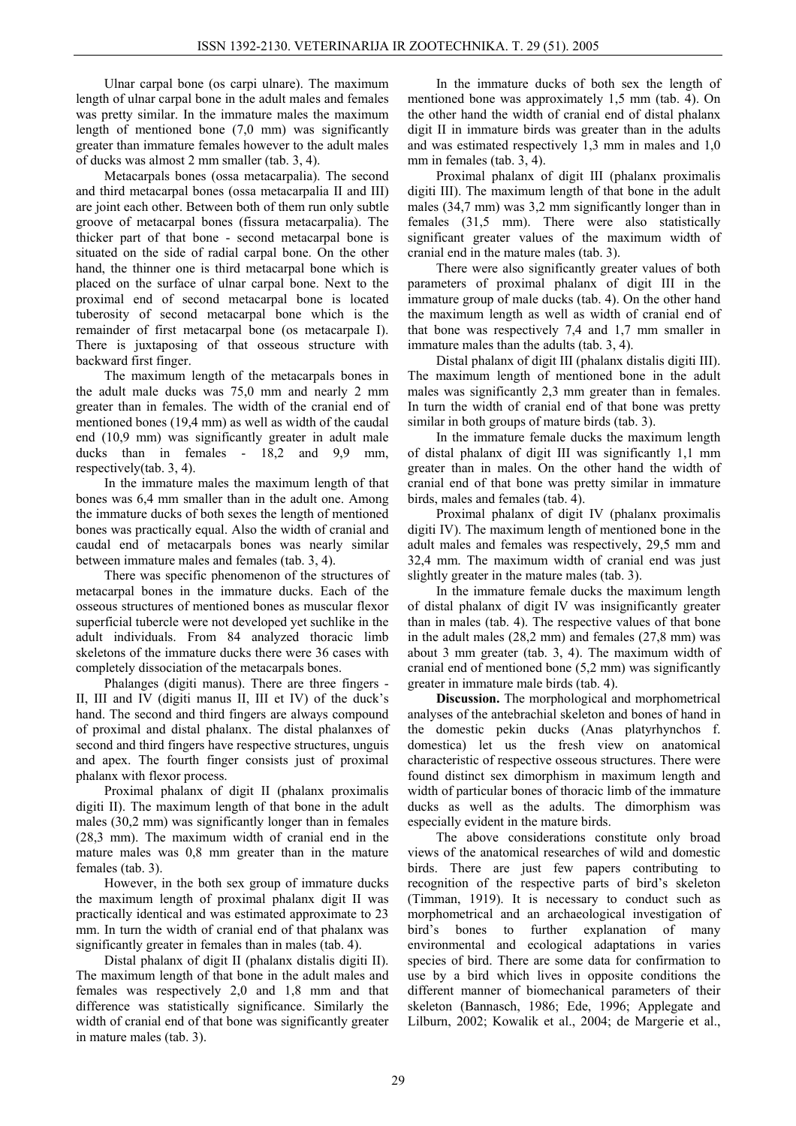Ulnar carpal bone (os carpi ulnare). The maximum length of ulnar carpal bone in the adult males and females was pretty similar. In the immature males the maximum length of mentioned bone (7,0 mm) was significantly greater than immature females however to the adult males of ducks was almost 2 mm smaller (tab. 3, 4).

Metacarpals bones (ossa metacarpalia). The second and third metacarpal bones (ossa metacarpalia II and III) are joint each other. Between both of them run only subtle groove of metacarpal bones (fissura metacarpalia). The thicker part of that bone - second metacarpal bone is situated on the side of radial carpal bone. On the other hand, the thinner one is third metacarpal bone which is placed on the surface of ulnar carpal bone. Next to the proximal end of second metacarpal bone is located tuberosity of second metacarpal bone which is the remainder of first metacarpal bone (os metacarpale I). There is juxtaposing of that osseous structure with backward first finger.

The maximum length of the metacarpals bones in the adult male ducks was 75,0 mm and nearly 2 mm greater than in females. The width of the cranial end of mentioned bones (19,4 mm) as well as width of the caudal end (10,9 mm) was significantly greater in adult male ducks than in females - 18,2 and 9,9 mm, respectively(tab. 3, 4).

In the immature males the maximum length of that bones was 6,4 mm smaller than in the adult one. Among the immature ducks of both sexes the length of mentioned bones was practically equal. Also the width of cranial and caudal end of metacarpals bones was nearly similar between immature males and females (tab. 3, 4).

There was specific phenomenon of the structures of metacarpal bones in the immature ducks. Each of the osseous structures of mentioned bones as muscular flexor superficial tubercle were not developed yet suchlike in the adult individuals. From 84 analyzed thoracic limb skeletons of the immature ducks there were 36 cases with completely dissociation of the metacarpals bones.

Phalanges (digiti manus). There are three fingers - II, III and IV (digiti manus II, III et IV) of the duck's hand. The second and third fingers are always compound of proximal and distal phalanx. The distal phalanxes of second and third fingers have respective structures, unguis and apex. The fourth finger consists just of proximal phalanx with flexor process.

Proximal phalanx of digit II (phalanx proximalis digiti II). The maximum length of that bone in the adult males (30,2 mm) was significantly longer than in females (28,3 mm). The maximum width of cranial end in the mature males was 0,8 mm greater than in the mature females (tab. 3).

However, in the both sex group of immature ducks the maximum length of proximal phalanx digit II was practically identical and was estimated approximate to 23 mm. In turn the width of cranial end of that phalanx was significantly greater in females than in males (tab. 4).

Distal phalanx of digit II (phalanx distalis digiti II). The maximum length of that bone in the adult males and females was respectively 2,0 and 1,8 mm and that difference was statistically significance. Similarly the width of cranial end of that bone was significantly greater in mature males (tab. 3).

In the immature ducks of both sex the length of mentioned bone was approximately 1,5 mm (tab. 4). On the other hand the width of cranial end of distal phalanx digit II in immature birds was greater than in the adults and was estimated respectively 1,3 mm in males and 1,0 mm in females (tab. 3, 4).

Proximal phalanx of digit III (phalanx proximalis digiti III). The maximum length of that bone in the adult males (34,7 mm) was 3,2 mm significantly longer than in females (31,5 mm). There were also statistically significant greater values of the maximum width of cranial end in the mature males (tab. 3).

There were also significantly greater values of both parameters of proximal phalanx of digit III in the immature group of male ducks (tab. 4). On the other hand the maximum length as well as width of cranial end of that bone was respectively 7,4 and 1,7 mm smaller in immature males than the adults (tab. 3, 4).

Distal phalanx of digit III (phalanx distalis digiti III). The maximum length of mentioned bone in the adult males was significantly 2,3 mm greater than in females. In turn the width of cranial end of that bone was pretty similar in both groups of mature birds (tab. 3).

In the immature female ducks the maximum length of distal phalanx of digit III was significantly 1,1 mm greater than in males. On the other hand the width of cranial end of that bone was pretty similar in immature birds, males and females (tab. 4).

Proximal phalanx of digit IV (phalanx proximalis digiti IV). The maximum length of mentioned bone in the adult males and females was respectively, 29,5 mm and 32,4 mm. The maximum width of cranial end was just slightly greater in the mature males (tab. 3).

In the immature female ducks the maximum length of distal phalanx of digit IV was insignificantly greater than in males (tab. 4). The respective values of that bone in the adult males (28,2 mm) and females (27,8 mm) was about 3 mm greater (tab. 3, 4). The maximum width of cranial end of mentioned bone (5,2 mm) was significantly greater in immature male birds (tab. 4).

**Discussion.** The morphological and morphometrical analyses of the antebrachial skeleton and bones of hand in the domestic pekin ducks (Anas platyrhynchos f. domestica) let us the fresh view on anatomical characteristic of respective osseous structures. There were found distinct sex dimorphism in maximum length and width of particular bones of thoracic limb of the immature ducks as well as the adults. The dimorphism was especially evident in the mature birds.

The above considerations constitute only broad views of the anatomical researches of wild and domestic birds. There are just few papers contributing to recognition of the respective parts of bird's skeleton (Timman, 1919). It is necessary to conduct such as morphometrical and an archaeological investigation of bird's bones to further explanation of many environmental and ecological adaptations in varies species of bird. There are some data for confirmation to use by a bird which lives in opposite conditions the different manner of biomechanical parameters of their skeleton (Bannasch, 1986; Ede, 1996; Applegate and Lilburn, 2002; Kowalik et al., 2004; de Margerie et al.,